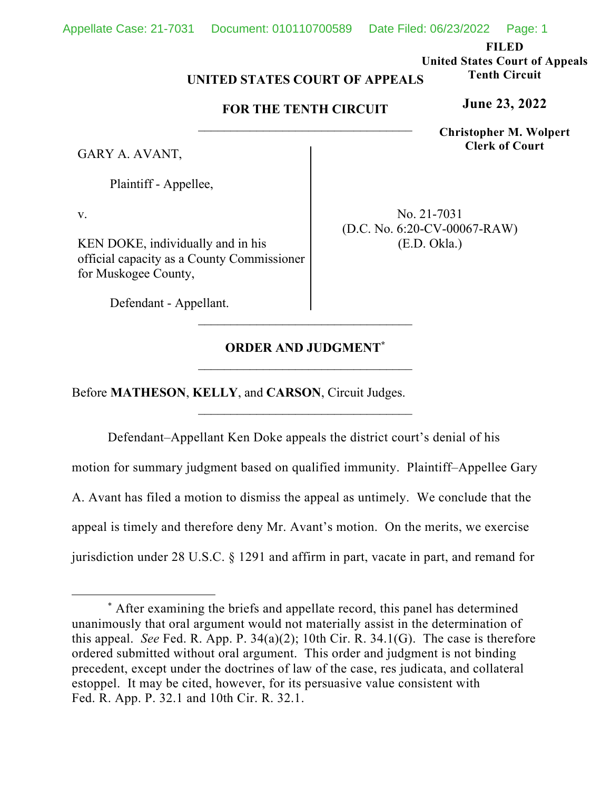**FILED** 

**United States Court of Appeals Tenth Circuit** 

**June 23, 2022**

**Christopher M. Wolpert Clerk of Court**

## **UNITED STATES COURT OF APPEALS**

### **FOR THE TENTH CIRCUIT**

GARY A. AVANT,

Plaintiff - Appellee,

v.

KEN DOKE, individually and in his official capacity as a County Commissioner for Muskogee County,

No. 21-7031 (D.C. No. 6:20-CV-00067-RAW) (E.D. Okla.)

Defendant - Appellant.

## **ORDER AND JUDGMENT\***

Before **MATHESON**, **KELLY**, and **CARSON**, Circuit Judges.

Defendant–Appellant Ken Doke appeals the district court's denial of his motion for summary judgment based on qualified immunity. Plaintiff–Appellee Gary A. Avant has filed a motion to dismiss the appeal as untimely. We conclude that the appeal is timely and therefore deny Mr. Avant's motion. On the merits, we exercise jurisdiction under 28 U.S.C. § 1291 and affirm in part, vacate in part, and remand for

<sup>\*</sup> After examining the briefs and appellate record, this panel has determined unanimously that oral argument would not materially assist in the determination of this appeal. *See* Fed. R. App. P. 34(a)(2); 10th Cir. R. 34.1(G). The case is therefore ordered submitted without oral argument. This order and judgment is not binding precedent, except under the doctrines of law of the case, res judicata, and collateral estoppel. It may be cited, however, for its persuasive value consistent with Fed. R. App. P. 32.1 and 10th Cir. R. 32.1.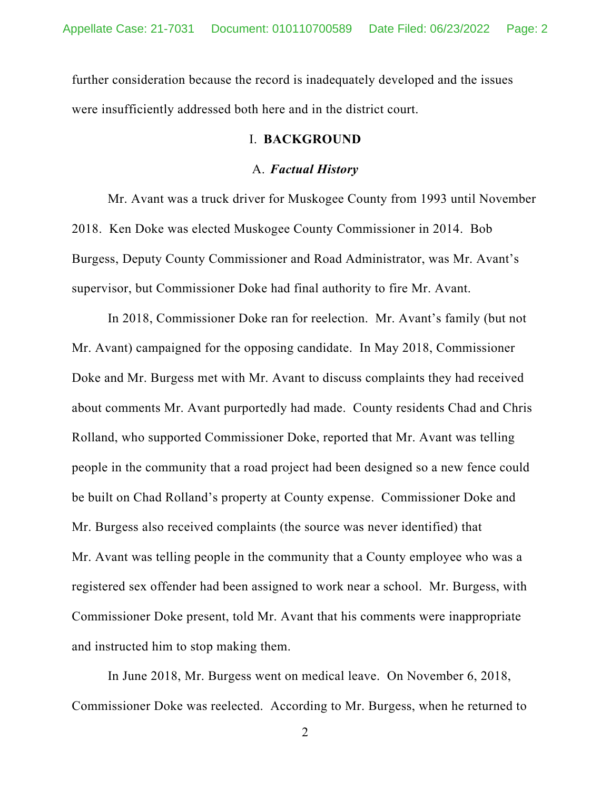further consideration because the record is inadequately developed and the issues were insufficiently addressed both here and in the district court.

### I. **BACKGROUND**

#### A. *Factual History*

Mr. Avant was a truck driver for Muskogee County from 1993 until November 2018. Ken Doke was elected Muskogee County Commissioner in 2014. Bob Burgess, Deputy County Commissioner and Road Administrator, was Mr. Avant's supervisor, but Commissioner Doke had final authority to fire Mr. Avant.

In 2018, Commissioner Doke ran for reelection. Mr. Avant's family (but not Mr. Avant) campaigned for the opposing candidate. In May 2018, Commissioner Doke and Mr. Burgess met with Mr. Avant to discuss complaints they had received about comments Mr. Avant purportedly had made. County residents Chad and Chris Rolland, who supported Commissioner Doke, reported that Mr. Avant was telling people in the community that a road project had been designed so a new fence could be built on Chad Rolland's property at County expense. Commissioner Doke and Mr. Burgess also received complaints (the source was never identified) that Mr. Avant was telling people in the community that a County employee who was a registered sex offender had been assigned to work near a school. Mr. Burgess, with Commissioner Doke present, told Mr. Avant that his comments were inappropriate and instructed him to stop making them.

In June 2018, Mr. Burgess went on medical leave. On November 6, 2018, Commissioner Doke was reelected. According to Mr. Burgess, when he returned to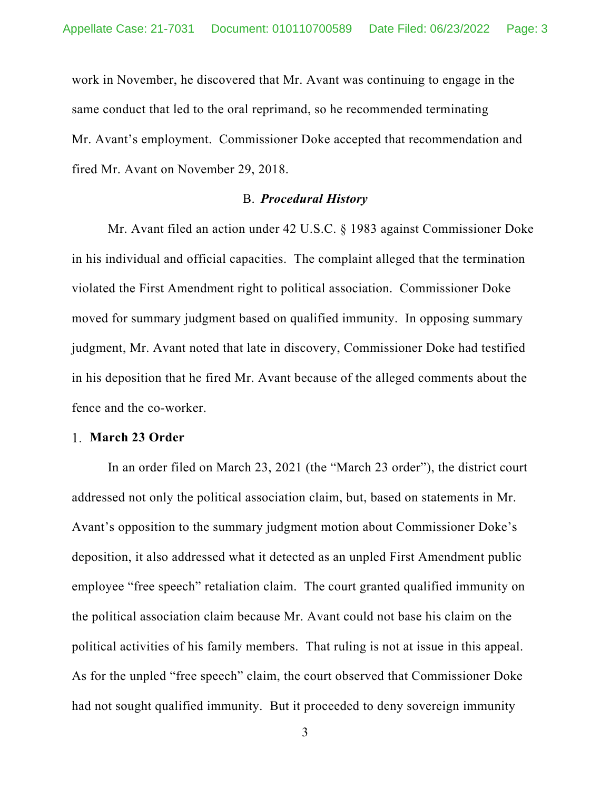work in November, he discovered that Mr. Avant was continuing to engage in the same conduct that led to the oral reprimand, so he recommended terminating Mr. Avant's employment. Commissioner Doke accepted that recommendation and fired Mr. Avant on November 29, 2018.

### B. *Procedural History*

Mr. Avant filed an action under 42 U.S.C. § 1983 against Commissioner Doke in his individual and official capacities. The complaint alleged that the termination violated the First Amendment right to political association. Commissioner Doke moved for summary judgment based on qualified immunity. In opposing summary judgment, Mr. Avant noted that late in discovery, Commissioner Doke had testified in his deposition that he fired Mr. Avant because of the alleged comments about the fence and the co-worker.

#### **March 23 Order**

In an order filed on March 23, 2021 (the "March 23 order"), the district court addressed not only the political association claim, but, based on statements in Mr. Avant's opposition to the summary judgment motion about Commissioner Doke's deposition, it also addressed what it detected as an unpled First Amendment public employee "free speech" retaliation claim. The court granted qualified immunity on the political association claim because Mr. Avant could not base his claim on the political activities of his family members. That ruling is not at issue in this appeal. As for the unpled "free speech" claim, the court observed that Commissioner Doke had not sought qualified immunity. But it proceeded to deny sovereign immunity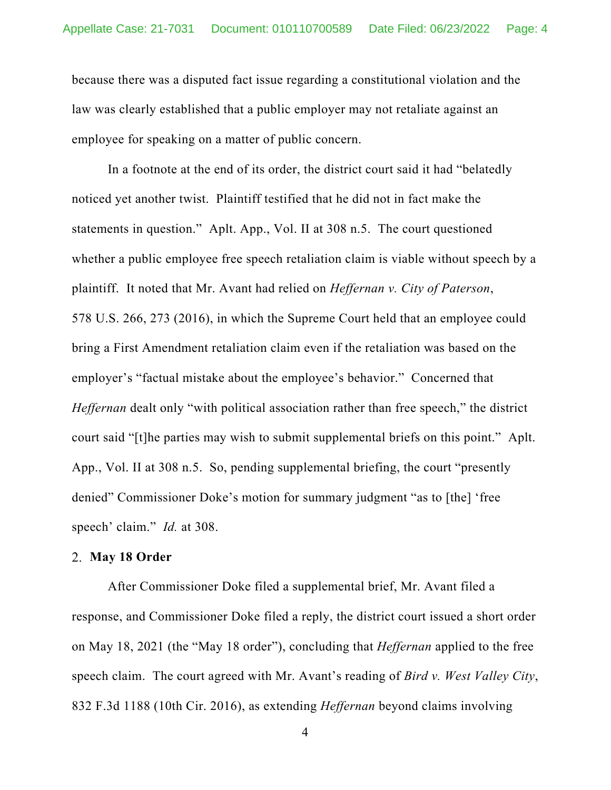because there was a disputed fact issue regarding a constitutional violation and the law was clearly established that a public employer may not retaliate against an employee for speaking on a matter of public concern.

In a footnote at the end of its order, the district court said it had "belatedly noticed yet another twist. Plaintiff testified that he did not in fact make the statements in question." Aplt. App., Vol. II at 308 n.5. The court questioned whether a public employee free speech retaliation claim is viable without speech by a plaintiff. It noted that Mr. Avant had relied on *Heffernan v. City of Paterson*, 578 U.S. 266, 273 (2016), in which the Supreme Court held that an employee could bring a First Amendment retaliation claim even if the retaliation was based on the employer's "factual mistake about the employee's behavior." Concerned that *Heffernan* dealt only "with political association rather than free speech," the district court said "[t]he parties may wish to submit supplemental briefs on this point." Aplt. App., Vol. II at 308 n.5. So, pending supplemental briefing, the court "presently denied" Commissioner Doke's motion for summary judgment "as to [the] 'free speech' claim." *Id.* at 308.

#### **May 18 Order**

After Commissioner Doke filed a supplemental brief, Mr. Avant filed a response, and Commissioner Doke filed a reply, the district court issued a short order on May 18, 2021 (the "May 18 order"), concluding that *Heffernan* applied to the free speech claim. The court agreed with Mr. Avant's reading of *Bird v. West Valley City*, 832 F.3d 1188 (10th Cir. 2016), as extending *Heffernan* beyond claims involving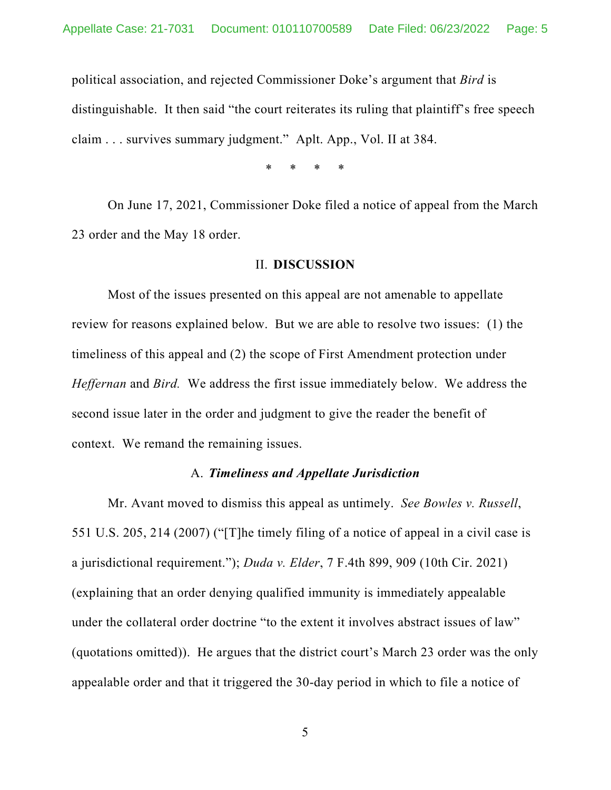political association, and rejected Commissioner Doke's argument that *Bird* is distinguishable. It then said "the court reiterates its ruling that plaintiff's free speech claim . . . survives summary judgment." Aplt. App., Vol. II at 384.

\* \* \* \*

On June 17, 2021, Commissioner Doke filed a notice of appeal from the March 23 order and the May 18 order.

#### II. **DISCUSSION**

Most of the issues presented on this appeal are not amenable to appellate review for reasons explained below. But we are able to resolve two issues: (1) the timeliness of this appeal and (2) the scope of First Amendment protection under *Heffernan* and *Bird.* We address the first issue immediately below. We address the second issue later in the order and judgment to give the reader the benefit of context. We remand the remaining issues.

### A. *Timeliness and Appellate Jurisdiction*

Mr. Avant moved to dismiss this appeal as untimely. *See Bowles v. Russell*, 551 U.S. 205, 214 (2007) ("[T]he timely filing of a notice of appeal in a civil case is a jurisdictional requirement."); *Duda v. Elder*, 7 F.4th 899, 909 (10th Cir. 2021) (explaining that an order denying qualified immunity is immediately appealable under the collateral order doctrine "to the extent it involves abstract issues of law" (quotations omitted)). He argues that the district court's March 23 order was the only appealable order and that it triggered the 30-day period in which to file a notice of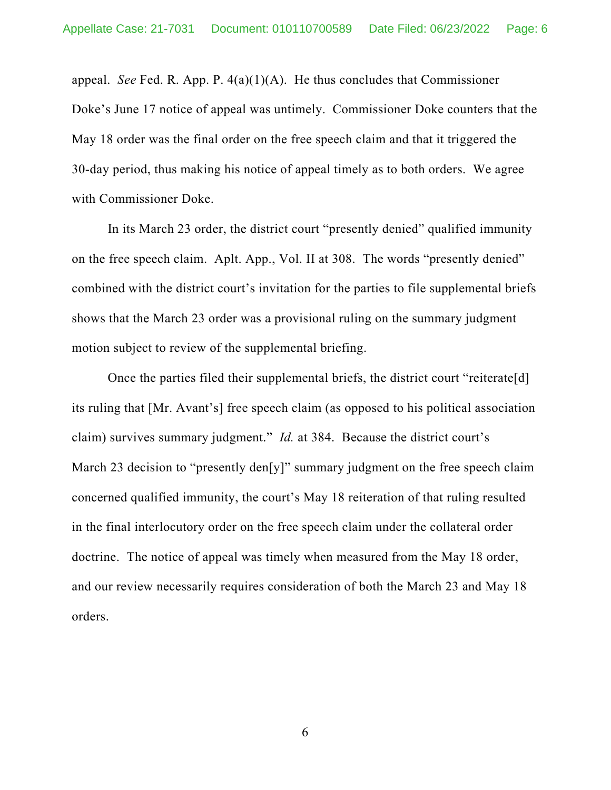appeal. *See* Fed. R. App. P. 4(a)(1)(A). He thus concludes that Commissioner Doke's June 17 notice of appeal was untimely. Commissioner Doke counters that the May 18 order was the final order on the free speech claim and that it triggered the 30-day period, thus making his notice of appeal timely as to both orders. We agree with Commissioner Doke.

In its March 23 order, the district court "presently denied" qualified immunity on the free speech claim. Aplt. App., Vol. II at 308. The words "presently denied" combined with the district court's invitation for the parties to file supplemental briefs shows that the March 23 order was a provisional ruling on the summary judgment motion subject to review of the supplemental briefing.

Once the parties filed their supplemental briefs, the district court "reiterate[d] its ruling that [Mr. Avant's] free speech claim (as opposed to his political association claim) survives summary judgment." *Id.* at 384. Because the district court's March 23 decision to "presently den[y]" summary judgment on the free speech claim concerned qualified immunity, the court's May 18 reiteration of that ruling resulted in the final interlocutory order on the free speech claim under the collateral order doctrine. The notice of appeal was timely when measured from the May 18 order, and our review necessarily requires consideration of both the March 23 and May 18 orders.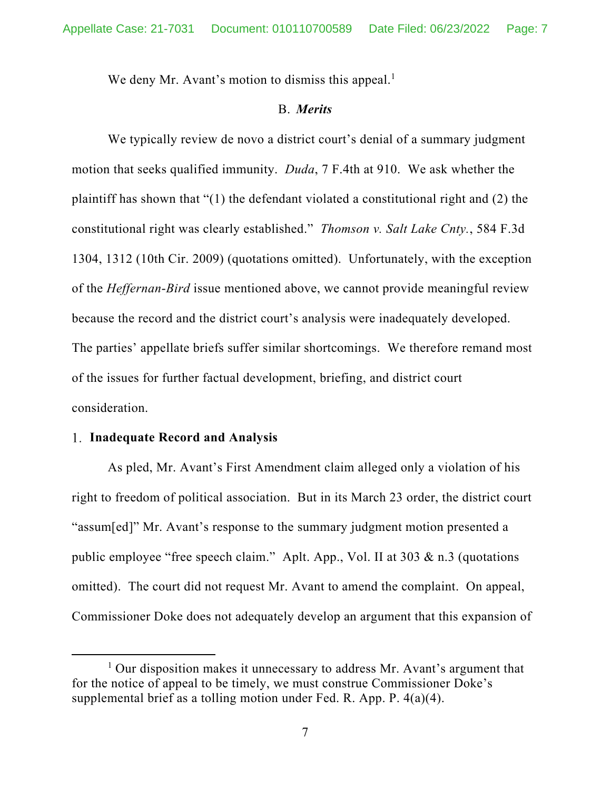We deny Mr. Avant's motion to dismiss this appeal.<sup>1</sup>

#### B. *Merits*

We typically review de novo a district court's denial of a summary judgment motion that seeks qualified immunity. *Duda*, 7 F.4th at 910. We ask whether the plaintiff has shown that "(1) the defendant violated a constitutional right and (2) the constitutional right was clearly established." *Thomson v. Salt Lake Cnty.*, 584 F.3d 1304, 1312 (10th Cir. 2009) (quotations omitted). Unfortunately, with the exception of the *Heffernan*-*Bird* issue mentioned above, we cannot provide meaningful review because the record and the district court's analysis were inadequately developed. The parties' appellate briefs suffer similar shortcomings. We therefore remand most of the issues for further factual development, briefing, and district court consideration.

#### **Inadequate Record and Analysis**

As pled, Mr. Avant's First Amendment claim alleged only a violation of his right to freedom of political association. But in its March 23 order, the district court "assum[ed]" Mr. Avant's response to the summary judgment motion presented a public employee "free speech claim." Aplt. App., Vol. II at 303 & n.3 (quotations omitted). The court did not request Mr. Avant to amend the complaint. On appeal, Commissioner Doke does not adequately develop an argument that this expansion of

<sup>&</sup>lt;sup>1</sup> Our disposition makes it unnecessary to address Mr. Avant's argument that for the notice of appeal to be timely, we must construe Commissioner Doke's supplemental brief as a tolling motion under Fed. R. App. P. 4(a)(4).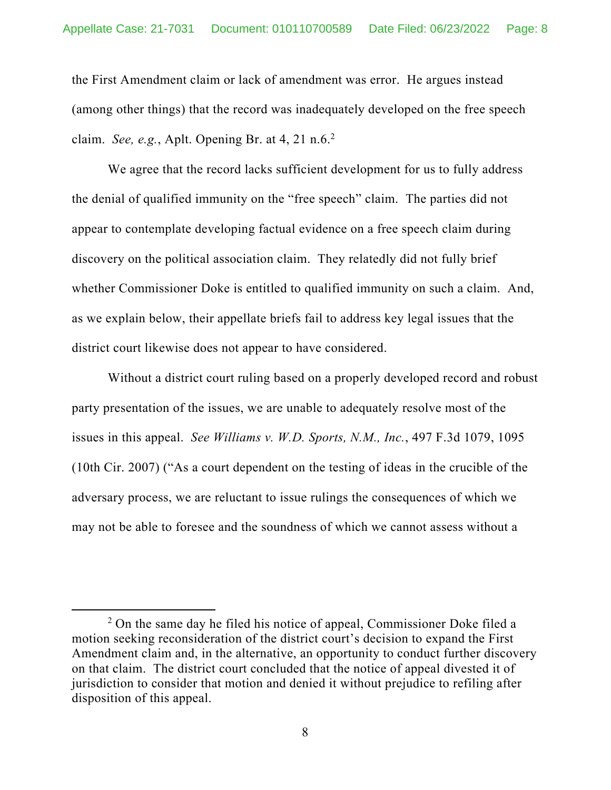the First Amendment claim or lack of amendment was error. He argues instead (among other things) that the record was inadequately developed on the free speech claim. *See, e.g.*, Aplt. Opening Br. at 4, 21 n.6.2

We agree that the record lacks sufficient development for us to fully address the denial of qualified immunity on the "free speech" claim. The parties did not appear to contemplate developing factual evidence on a free speech claim during discovery on the political association claim. They relatedly did not fully brief whether Commissioner Doke is entitled to qualified immunity on such a claim. And, as we explain below, their appellate briefs fail to address key legal issues that the district court likewise does not appear to have considered.

Without a district court ruling based on a properly developed record and robust party presentation of the issues, we are unable to adequately resolve most of the issues in this appeal. *See Williams v. W.D. Sports, N.M., Inc.*, 497 F.3d 1079, 1095 (10th Cir. 2007) ("As a court dependent on the testing of ideas in the crucible of the adversary process, we are reluctant to issue rulings the consequences of which we may not be able to foresee and the soundness of which we cannot assess without a

<sup>&</sup>lt;sup>2</sup> On the same day he filed his notice of appeal, Commissioner Doke filed a motion seeking reconsideration of the district court's decision to expand the First Amendment claim and, in the alternative, an opportunity to conduct further discovery on that claim. The district court concluded that the notice of appeal divested it of jurisdiction to consider that motion and denied it without prejudice to refiling after disposition of this appeal.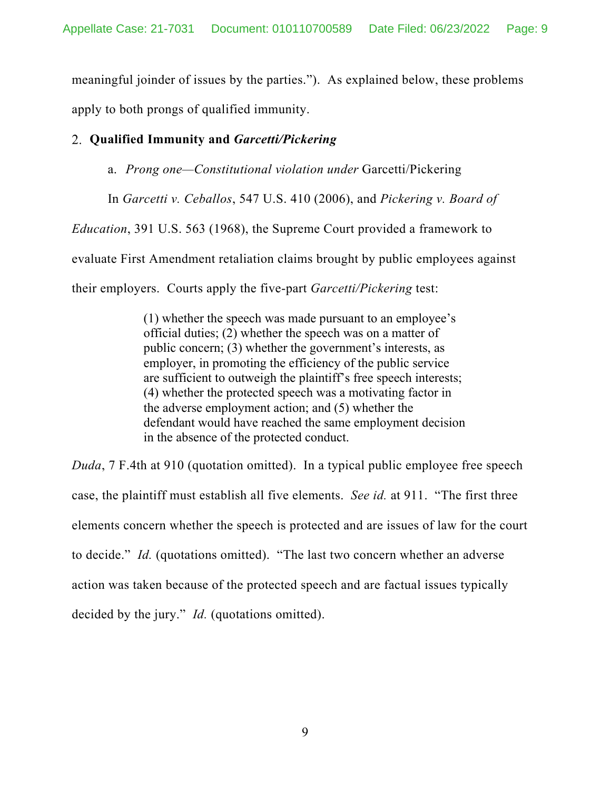meaningful joinder of issues by the parties."). As explained below, these problems apply to both prongs of qualified immunity.

# **Qualified Immunity and** *Garcetti/Pickering*

a. *Prong one—Constitutional violation under* Garcetti/Pickering

In *Garcetti v. Ceballos*, 547 U.S. 410 (2006), and *Pickering v. Board of* 

*Education*, 391 U.S. 563 (1968), the Supreme Court provided a framework to

evaluate First Amendment retaliation claims brought by public employees against

their employers. Courts apply the five-part *Garcetti/Pickering* test:

(1) whether the speech was made pursuant to an employee's official duties; (2) whether the speech was on a matter of public concern; (3) whether the government's interests, as employer, in promoting the efficiency of the public service are sufficient to outweigh the plaintiff's free speech interests; (4) whether the protected speech was a motivating factor in the adverse employment action; and (5) whether the defendant would have reached the same employment decision in the absence of the protected conduct.

*Duda*, 7 F.4th at 910 (quotation omitted). In a typical public employee free speech case, the plaintiff must establish all five elements. *See id.* at 911. "The first three elements concern whether the speech is protected and are issues of law for the court to decide." *Id.* (quotations omitted). "The last two concern whether an adverse action was taken because of the protected speech and are factual issues typically decided by the jury." *Id.* (quotations omitted).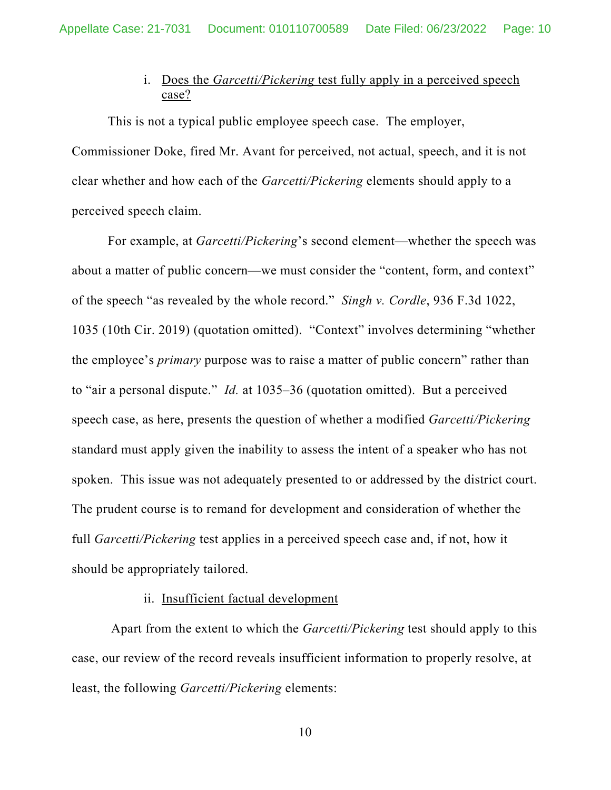# i. Does the *Garcetti/Pickering* test fully apply in a perceived speech case?

This is not a typical public employee speech case. The employer, Commissioner Doke, fired Mr. Avant for perceived, not actual, speech, and it is not clear whether and how each of the *Garcetti/Pickering* elements should apply to a perceived speech claim.

For example, at *Garcetti/Pickering*'s second element—whether the speech was about a matter of public concern—we must consider the "content, form, and context" of the speech "as revealed by the whole record." *Singh v. Cordle*, 936 F.3d 1022, 1035 (10th Cir. 2019) (quotation omitted). "Context" involves determining "whether the employee's *primary* purpose was to raise a matter of public concern" rather than to "air a personal dispute." *Id.* at 1035–36 (quotation omitted). But a perceived speech case, as here, presents the question of whether a modified *Garcetti/Pickering*  standard must apply given the inability to assess the intent of a speaker who has not spoken. This issue was not adequately presented to or addressed by the district court. The prudent course is to remand for development and consideration of whether the full *Garcetti/Pickering* test applies in a perceived speech case and, if not, how it should be appropriately tailored.

### ii. Insufficient factual development

 Apart from the extent to which the *Garcetti/Pickering* test should apply to this case, our review of the record reveals insufficient information to properly resolve, at least, the following *Garcetti/Pickering* elements: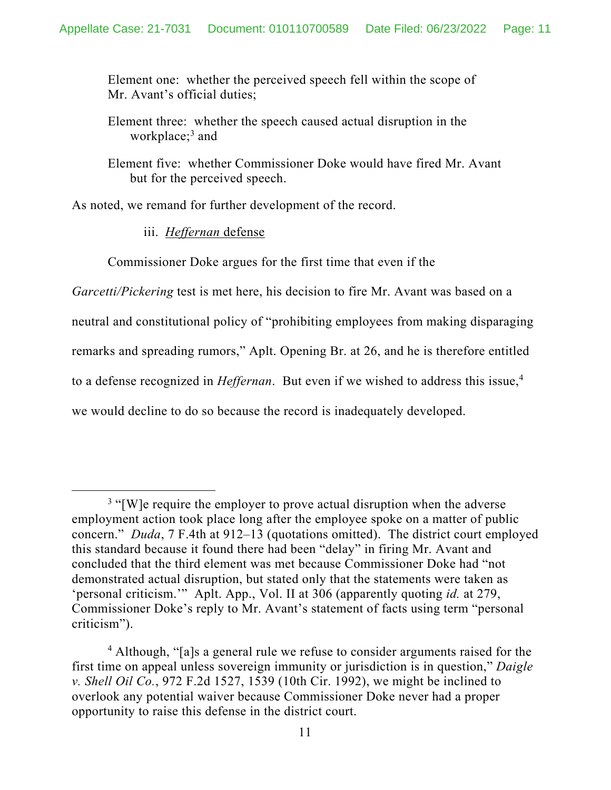Element one: whether the perceived speech fell within the scope of Mr. Avant's official duties;

Element three: whether the speech caused actual disruption in the workplace;3 and

Element five: whether Commissioner Doke would have fired Mr. Avant but for the perceived speech.

As noted, we remand for further development of the record.

iii. *Heffernan* defense

Commissioner Doke argues for the first time that even if the

*Garcetti/Pickering* test is met here, his decision to fire Mr. Avant was based on a neutral and constitutional policy of "prohibiting employees from making disparaging remarks and spreading rumors," Aplt. Opening Br. at 26, and he is therefore entitled to a defense recognized in *Heffernan*. But even if we wished to address this issue,<sup>4</sup> we would decline to do so because the record is inadequately developed.

 $3$  "[W]e require the employer to prove actual disruption when the adverse employment action took place long after the employee spoke on a matter of public concern." *Duda*, 7 F.4th at 912–13 (quotations omitted). The district court employed this standard because it found there had been "delay" in firing Mr. Avant and concluded that the third element was met because Commissioner Doke had "not demonstrated actual disruption, but stated only that the statements were taken as 'personal criticism.'" Aplt. App., Vol. II at 306 (apparently quoting *id.* at 279, Commissioner Doke's reply to Mr. Avant's statement of facts using term "personal criticism").

<sup>&</sup>lt;sup>4</sup> Although, "[a]s a general rule we refuse to consider arguments raised for the first time on appeal unless sovereign immunity or jurisdiction is in question," *Daigle v. Shell Oil Co.*, 972 F.2d 1527, 1539 (10th Cir. 1992), we might be inclined to overlook any potential waiver because Commissioner Doke never had a proper opportunity to raise this defense in the district court.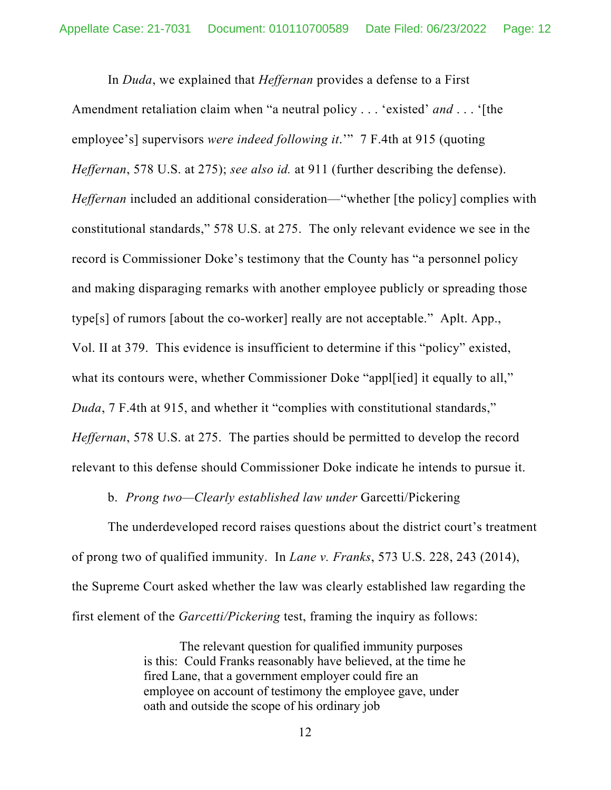In *Duda*, we explained that *Heffernan* provides a defense to a First Amendment retaliation claim when "a neutral policy . . . 'existed' *and* . . . '[the employee's] supervisors *were indeed following it*.'" 7 F.4th at 915 (quoting *Heffernan*, 578 U.S. at 275); *see also id.* at 911 (further describing the defense). *Heffernan* included an additional consideration—"whether [the policy] complies with constitutional standards," 578 U.S. at 275. The only relevant evidence we see in the record is Commissioner Doke's testimony that the County has "a personnel policy and making disparaging remarks with another employee publicly or spreading those type[s] of rumors [about the co-worker] really are not acceptable." Aplt. App., Vol. II at 379. This evidence is insufficient to determine if this "policy" existed, what its contours were, whether Commissioner Doke "appl[ied] it equally to all," *Duda*, 7 F.4th at 915, and whether it "complies with constitutional standards," *Heffernan*, 578 U.S. at 275. The parties should be permitted to develop the record relevant to this defense should Commissioner Doke indicate he intends to pursue it.

b. *Prong two—Clearly established law under* Garcetti/Pickering

The underdeveloped record raises questions about the district court's treatment of prong two of qualified immunity. In *Lane v. Franks*, 573 U.S. 228, 243 (2014), the Supreme Court asked whether the law was clearly established law regarding the first element of the *Garcetti/Pickering* test, framing the inquiry as follows:

> The relevant question for qualified immunity purposes is this: Could Franks reasonably have believed, at the time he fired Lane, that a government employer could fire an employee on account of testimony the employee gave, under oath and outside the scope of his ordinary job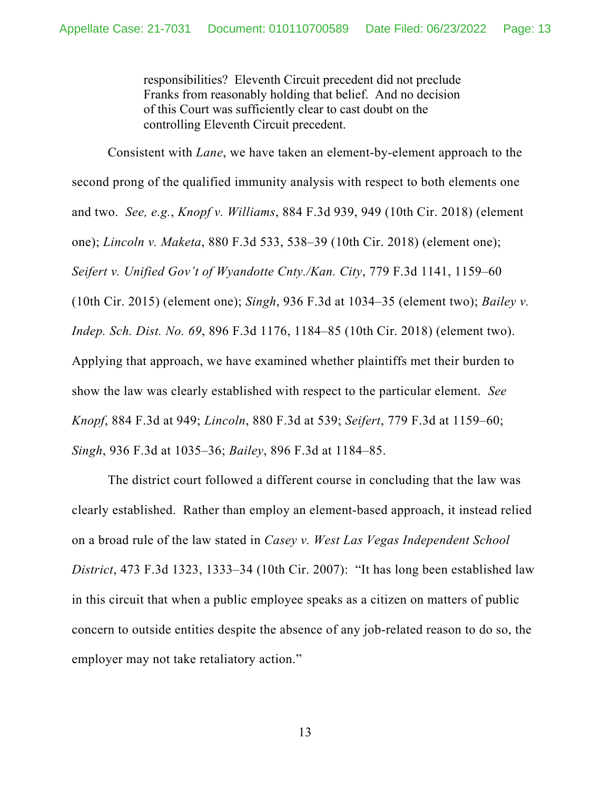responsibilities? Eleventh Circuit precedent did not preclude Franks from reasonably holding that belief. And no decision of this Court was sufficiently clear to cast doubt on the controlling Eleventh Circuit precedent.

Consistent with *Lane*, we have taken an element-by-element approach to the second prong of the qualified immunity analysis with respect to both elements one and two. *See, e.g.*, *Knopf v. Williams*, 884 F.3d 939, 949 (10th Cir. 2018) (element one); *Lincoln v. Maketa*, 880 F.3d 533, 538–39 (10th Cir. 2018) (element one); *Seifert v. Unified Gov't of Wyandotte Cnty./Kan. City*, 779 F.3d 1141, 1159–60 (10th Cir. 2015) (element one); *Singh*, 936 F.3d at 1034–35 (element two); *Bailey v. Indep. Sch. Dist. No. 69*, 896 F.3d 1176, 1184–85 (10th Cir. 2018) (element two). Applying that approach, we have examined whether plaintiffs met their burden to show the law was clearly established with respect to the particular element. *See Knopf*, 884 F.3d at 949; *Lincoln*, 880 F.3d at 539; *Seifert*, 779 F.3d at 1159–60; *Singh*, 936 F.3d at 1035–36; *Bailey*, 896 F.3d at 1184–85.

The district court followed a different course in concluding that the law was clearly established. Rather than employ an element-based approach, it instead relied on a broad rule of the law stated in *Casey v. West Las Vegas Independent School District*, 473 F.3d 1323, 1333–34 (10th Cir. 2007): "It has long been established law in this circuit that when a public employee speaks as a citizen on matters of public concern to outside entities despite the absence of any job-related reason to do so, the employer may not take retaliatory action."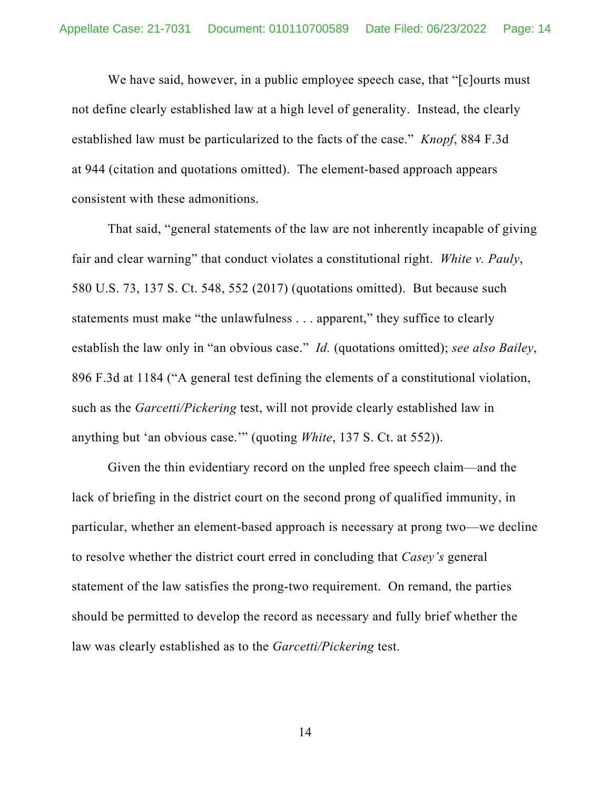We have said, however, in a public employee speech case, that "[c]ourts must not define clearly established law at a high level of generality. Instead, the clearly established law must be particularized to the facts of the case." *Knopf*, 884 F.3d at 944 (citation and quotations omitted). The element-based approach appears consistent with these admonitions.

That said, "general statements of the law are not inherently incapable of giving fair and clear warning" that conduct violates a constitutional right. *White v. Pauly*, 580 U.S. 73, 137 S. Ct. 548, 552 (2017) (quotations omitted). But because such statements must make "the unlawfulness . . . apparent," they suffice to clearly establish the law only in "an obvious case." *Id.* (quotations omitted); *see also Bailey*, 896 F.3d at 1184 ("A general test defining the elements of a constitutional violation, such as the *Garcetti/Pickering* test, will not provide clearly established law in anything but 'an obvious case.'" (quoting *White*, 137 S. Ct. at 552)).

Given the thin evidentiary record on the unpled free speech claim—and the lack of briefing in the district court on the second prong of qualified immunity, in particular, whether an element-based approach is necessary at prong two—we decline to resolve whether the district court erred in concluding that *Casey's* general statement of the law satisfies the prong-two requirement. On remand, the parties should be permitted to develop the record as necessary and fully brief whether the law was clearly established as to the *Garcetti/Pickering* test.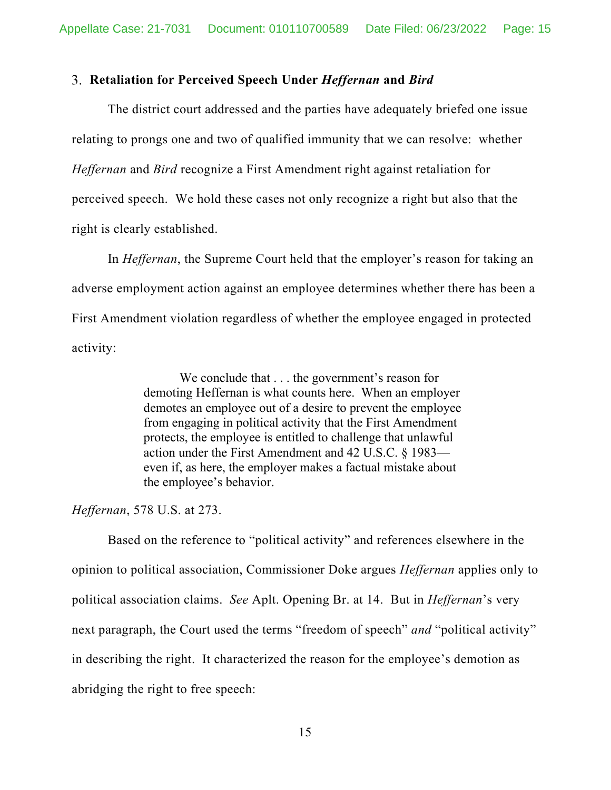#### **Retaliation for Perceived Speech Under** *Heffernan* **and** *Bird*

The district court addressed and the parties have adequately briefed one issue relating to prongs one and two of qualified immunity that we can resolve: whether *Heffernan* and *Bird* recognize a First Amendment right against retaliation for perceived speech. We hold these cases not only recognize a right but also that the right is clearly established.

In *Heffernan*, the Supreme Court held that the employer's reason for taking an adverse employment action against an employee determines whether there has been a First Amendment violation regardless of whether the employee engaged in protected activity:

> We conclude that . . . the government's reason for demoting Heffernan is what counts here. When an employer demotes an employee out of a desire to prevent the employee from engaging in political activity that the First Amendment protects, the employee is entitled to challenge that unlawful action under the First Amendment and 42 U.S.C. § 1983 even if, as here, the employer makes a factual mistake about the employee's behavior.

*Heffernan*, 578 U.S. at 273.

Based on the reference to "political activity" and references elsewhere in the opinion to political association, Commissioner Doke argues *Heffernan* applies only to political association claims. *See* Aplt. Opening Br. at 14. But in *Heffernan*'s very next paragraph, the Court used the terms "freedom of speech" *and* "political activity" in describing the right. It characterized the reason for the employee's demotion as abridging the right to free speech: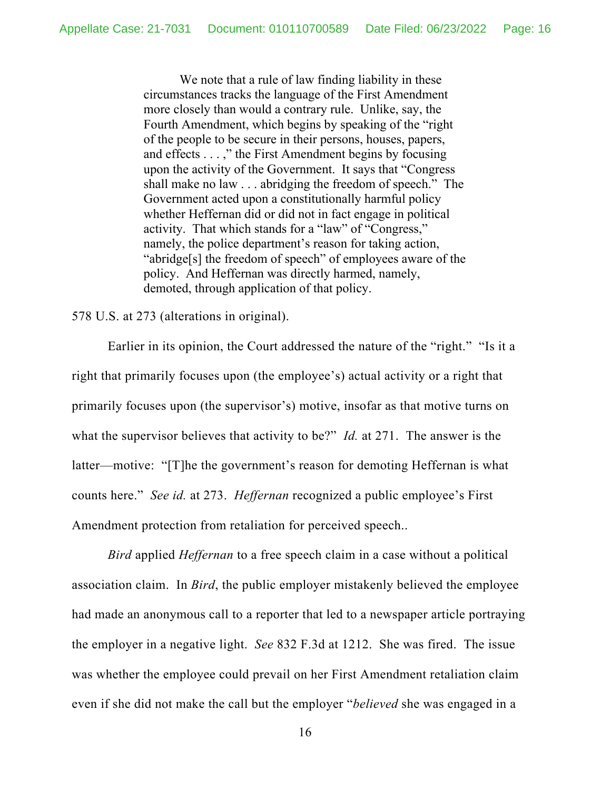We note that a rule of law finding liability in these circumstances tracks the language of the First Amendment more closely than would a contrary rule. Unlike, say, the Fourth Amendment, which begins by speaking of the "right of the people to be secure in their persons, houses, papers, and effects . . . ," the First Amendment begins by focusing upon the activity of the Government. It says that "Congress shall make no law . . . abridging the freedom of speech." The Government acted upon a constitutionally harmful policy whether Heffernan did or did not in fact engage in political activity. That which stands for a "law" of "Congress," namely, the police department's reason for taking action, "abridge[s] the freedom of speech" of employees aware of the policy. And Heffernan was directly harmed, namely, demoted, through application of that policy.

#### 578 U.S. at 273 (alterations in original).

Earlier in its opinion, the Court addressed the nature of the "right." "Is it a right that primarily focuses upon (the employee's) actual activity or a right that primarily focuses upon (the supervisor's) motive, insofar as that motive turns on what the supervisor believes that activity to be?" *Id.* at 271. The answer is the latter—motive: "[T]he the government's reason for demoting Heffernan is what counts here." *See id.* at 273. *Heffernan* recognized a public employee's First Amendment protection from retaliation for perceived speech..

*Bird* applied *Heffernan* to a free speech claim in a case without a political association claim. In *Bird*, the public employer mistakenly believed the employee had made an anonymous call to a reporter that led to a newspaper article portraying the employer in a negative light. *See* 832 F.3d at 1212. She was fired. The issue was whether the employee could prevail on her First Amendment retaliation claim even if she did not make the call but the employer "*believed* she was engaged in a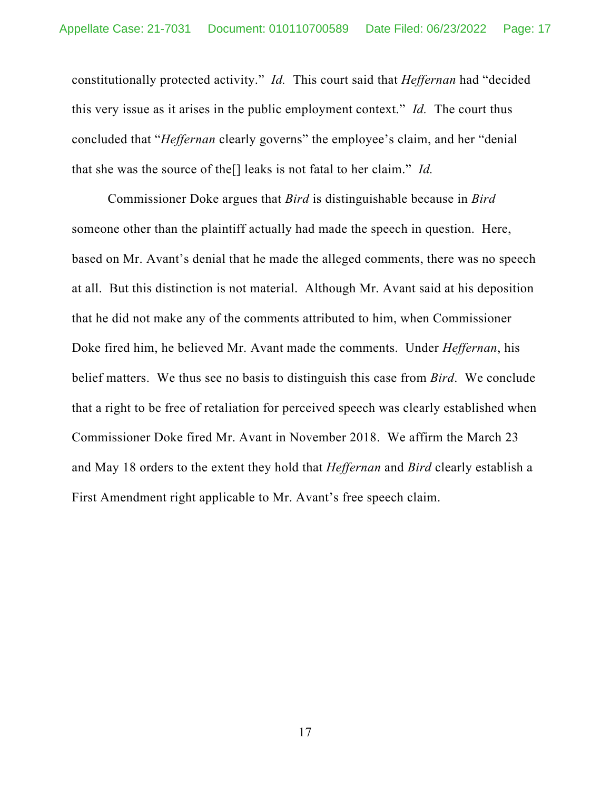constitutionally protected activity." *Id.* This court said that *Heffernan* had "decided this very issue as it arises in the public employment context." *Id.* The court thus concluded that "*Heffernan* clearly governs" the employee's claim, and her "denial that she was the source of the[] leaks is not fatal to her claim." *Id.*

Commissioner Doke argues that *Bird* is distinguishable because in *Bird*  someone other than the plaintiff actually had made the speech in question. Here, based on Mr. Avant's denial that he made the alleged comments, there was no speech at all. But this distinction is not material. Although Mr. Avant said at his deposition that he did not make any of the comments attributed to him, when Commissioner Doke fired him, he believed Mr. Avant made the comments. Under *Heffernan*, his belief matters. We thus see no basis to distinguish this case from *Bird*. We conclude that a right to be free of retaliation for perceived speech was clearly established when Commissioner Doke fired Mr. Avant in November 2018. We affirm the March 23 and May 18 orders to the extent they hold that *Heffernan* and *Bird* clearly establish a First Amendment right applicable to Mr. Avant's free speech claim.